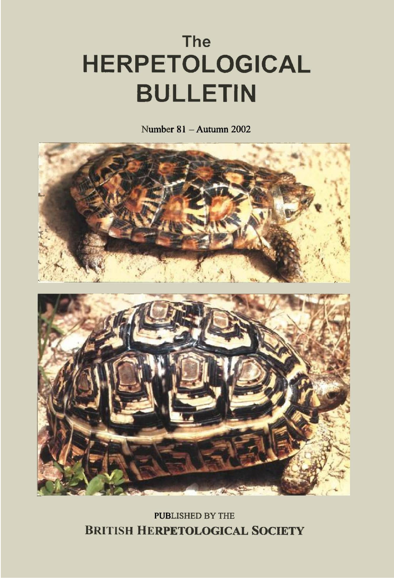## **The HERPETOLOGICAL BULLETIN**

Number  $81 -$ Autumn 2002



**PUBLISHED BY THE BRITISH HERPETOLOGICAL SOCIETY**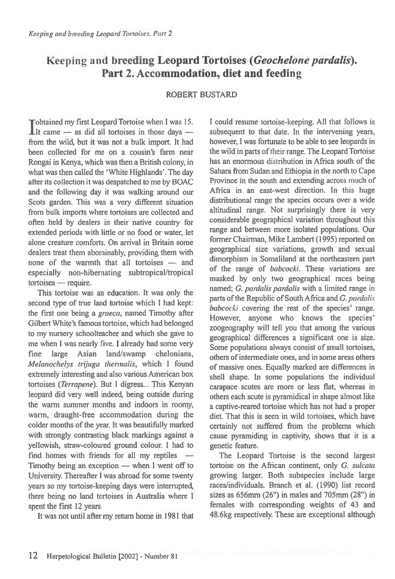## **Keeping and breeding Leopard Tortoises** *(Geochelone pardalis).*  **Part 2. Accommodation, diet and feeding**

## ROBERT BUSTARD

**I** dobtained my first Leopard Tortoise when I was 15.<br>It came — as did all tortoises in those days **Tobtained my first Leopard Tortoise when I was 15.** from the wild, but it was not a bulk import. It had been collected for me on a cousin's farm near Rongai in Kenya, which was then a British colony, in what was then called the 'White Highlands'. The day after its collection it was despatched to me by BOAC and the following day it was walking around our Scots garden. This was a very different situation from bulk imports where tortoises are collected and often held by dealers in their native country for extended periods with little or no food or water, let alone creature comforts. On arrival in Britain some dealers treat them abominably, providing them with none of the warmth that all tortoises — and especially non-hibernating subtropical/tropical tortoises — require.

This tortoise was an education. It was only the second type of true land tortoise which I had kept: the first one being a *graeca,* named Timothy after Gilbert White's famous tortoise, which had belonged to my nursery schoolteacher and which she gave to me when I was nearly five. I already had some very fine large Asian land/swamp chelonians, *Melanochelys trijuga thermalis,* which I found extremely interesting and also various American box tortoises *(Terrapene).* But I digress... This Kenyan leopard did very well indeed, being outside during the warm summer months and indoors in roomy, warm, draught-free accommodation during the colder months of the year. It was beautifully marked with strongly contrasting black markings against a yellowish, straw-coloured ground colour. I had to find homes with friends for all my reptiles Timothy being an exception — when I went off to University. Thereafter I was abroad for some twenty years so my tortoise-keeping days were interrupted, there being no land tortoises in Australia where I spent the first 12 years.

It was not until after my return home in 1981 that

I could resume tortoise-keeping. All that follows is subsequent to that date. In the intervening years, however, I was fortunate to be able to see leopards in the wild in parts of their range. The Leopard Tortoise has an enormous distribution in Africa south of the Sahara from Sudan and Ethiopia in the north to Cape Province in the south and extending across much of Africa in an east-west direction. In this huge distributional range the species occurs over a wide altitudinal range. Not surprisingly there is very considerable geographical variation throughout this range and between more isolated populations. Our former Chairman, Mike Lambert (1995) reported on geographical size variations, growth and sexual dimorphism in Somaliland at the northeastern part of the range of *babcocki.* These variations are masked by only two geographical races being named; *G. pardalis pardalis* with a limited range in parts of the Republic of South Africa and *G. pardalis babcocki* covering the rest of the species' range. However, anyone who knows the species' zoogeography will tell you that among the various geographical differences a significant one is size. Some populations always consist of small tortoises, others of intermediate ones, and in some areas others of massive ones. Equally marked are differences in shell shape. In some populations the individual carapace scutes are more or less flat, whereas in others each scute is pyramidical in shape almost like a captive-reared tortoise which has not had a proper diet. That this is seen in wild tortoises, which have certainly not suffered from the problems which cause pyramiding in captivity, shows that it is a genetic feature.

The Leopard Tortoise is the second largest tortoise on the African continent, only *G. sulcata*  growing larger. Both subspecies include large races/individuals. Branch et al. (1990) list record sizes as 656mm (26") in males and 705mm (28") in females with corresponding weights of 43 and 48.6kg respectively. These are exceptional although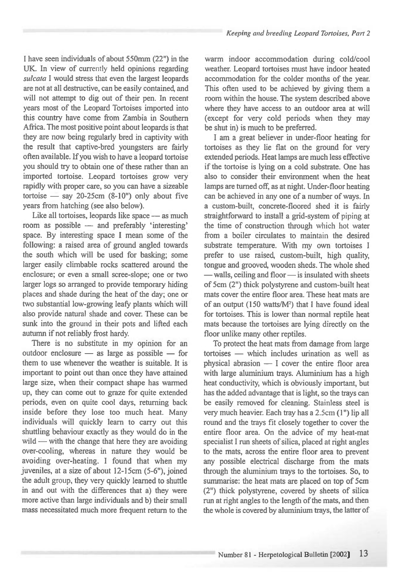I have seen individuals of about 550mm (22") in the UK. In view of currently held opinions regarding *sulcata* I would stress that even the largest leopards are not at all destructive, can be easily contained, and will not attempt to dig out of their pen. In recent years most of the Leopard Tortoises imported into this country have come from Zambia in Southern Africa. The most positive point about leopards is that they are now being regularly bred in captivity with the result that captive-bred youngsters are fairly often available. If you wish to have a leopard tortoise you should try to obtain one of these rather than an imported tortoise. Leopard tortoises grow very rapidly with proper care, so you can have a sizeable tortoise — say 20-25cm (8-10") only about five years from hatching (see also below).

Like all tortoises, leopards like space — as much room as possible — and preferably 'interesting' space. By interesting space I mean some of the following: a raised area of ground angled towards the south which will be used for basking; some larger easily climbable rocks scattered around the enclosure; or even a small scree-slope; one or two larger logs so arranged to provide temporary hiding places and shade during the heat of the day; one or two substantial low-growing leafy plants which will also provide natural shade and cover. These can be sunk into the ground in their pots and lifted each autumn if not reliably frost hardy.

There is no substitute in my opinion for an outdoor enclosure — as large as possible — for them to use whenever the weather is suitable. It is important to point out than once they have attained large size, when their compact shape has warmed up, they can come out to graze for quite extended periods, even on quite cool days, returning back inside before they lose too much heat. Many individuals will quickly learn to carry out this shuttling behaviour exactly as they would do in the wild — with the change that here they are avoiding over-cooling, whereas in nature they would be avoiding over-heating. I found that when my juveniles, at a size of about 12-15cm (5-6"), joined the adult group, they very quickly learned to shuttle in and out with the differences that a) they were more active than large individuals and b) their small mass necessitated much more frequent return to the warm indoor accommodation during cold/cool weather. Leopard tortoises must have indoor heated accommodation for the colder months of the year. This often used to be achieved by giving them a room within the house. The system described above where they have access to an outdoor area at will (except for very cold periods when they may be shut in) is much to be preferred.

I am a great believer in under-floor heating for tortoises as they lie flat on the ground for very extended periods. Heat lamps are much less effective if the tortoise is lying on a cold substrate. One has also to consider their environment when the heat lamps are turned off, as at night. Under-floor heating can be achieved in any one of a number of ways. In a custom-built, concrete-floored shed it is fairly straightforward to install a grid-system of piping at the time of construction through which hot water from a boiler circulates to maintain the desired substrate temperature. With my own tortoises I prefer to use raised, custom-built, high quality, tongue and grooved, wooden sheds. The whole shed — walls, ceiling and floor — is insulated with sheets of 5cm (2") thick polystyrene and custom-built heat mats cover the entire floor area. These heat mats are of an output (150 watts/M2) that I have found ideal for tortoises. This is lower than normal reptile heat mats because the tortoises are lying directly on the floor unlike many other reptiles.

To protect the heat mats from damage from large tortoises — which includes urination as well as physical abrasion — I cover the entire floor area with large aluminium trays. Aluminium has a high heat conductivity, which is obviously important, but has the added advantage that is light, so the trays can be easily removed for cleaning. Stainless steel is very much heavier. Each tray has a 2.5cm (1") lip all round and the trays fit closely together to cover the entire floor area. On the advice of my heat-mat specialist I run sheets of silica, placed at right angles to the mats, across the entire floor area to prevent any possible electrical discharge from the mats through the aluminium trays to the tortoises. So, to summarise: the heat mats are placed on top of 5cm (2") thick polystyrene, covered by sheets of silica run at right angles to the length of the mats, and then the whole is covered by aluminium trays, the latter of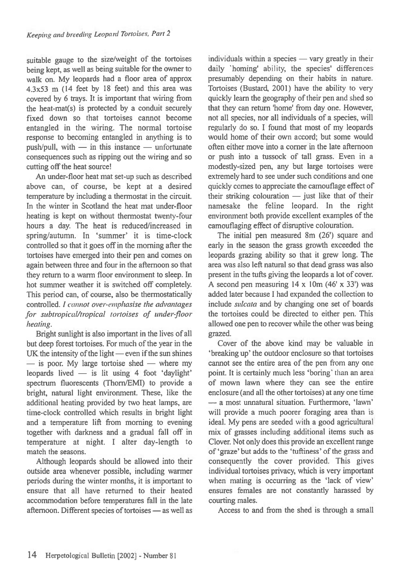suitable gauge to the size/weight of the tortoises being kept, as well as being suitable for the owner to walk on. My leopards had a floor area of approx 4.3x53 m (14 feet by 18 feet) and this area was covered by 6 trays. It is important that wiring from the heat-mat(s) is protected by a conduit securely fixed down so that tortoises cannot become entangled in the wiring. The normal tortoise response to becoming entangled in anything is to push/pull, with — in this instance — unfortunate consequences such as ripping out the wiring and so cutting off the heat source!

An under-floor heat mat set-up such as described above can, of course, be kept at a desired temperature by including a thermostat in the circuit. In the winter in Scotland the heat mat under-floor heating is kept on without thermostat twenty-four hours a day. The heat is reduced/increased in spring/autumn. In 'summer' it is time-clock controlled so that it goes off in the morning after the tortoises have emerged into their pen and comes on again between three and four in the afternoon so that they return to a warm floor environment to sleep. In hot summer weather it is switched off completely. This period can, of course, also be thermostatically controlled. I cannot over-emphasise the advantages for subtropical/tropical tortoises of under-floor heating.

Bright sunlight is also important in the lives of all but deep forest tortoises. For much of the year in the UK the intensity of the light — even if the sun shines — is poor. My large tortoise shed — where my leopards lived — is lit using 4 foot 'daylight' spectrum fluorescents (Thorn/EMI) to provide a bright, natural light environment. These, like the additional heating provided by two heat lamps, are time-clock controlled which results in bright light and a temperature lift from morning to evening together with darkness and a gradual fall off in temperature at night. I alter day-length to match the seasons.

Although leopards should be allowed into their outside area whenever possible, including warmer periods during the winter months, it is important to ensure that all have returned to their heated accommodation before temperatures fall in the late afternoon. Different species of tortoises — as well as individuals within a species — vary greatly in their daily 'homing' ability, the species' differences presumably depending on their habits in nature. Tortoises (Bustard, 2001) have the ability to very quickly learn the geography of their pen and shed so that they can return 'home' from day one. However, not all species, nor all individuals of a species, will regularly do so. I found that most of my leopards would home of their own accord; but some would often either move into a corner in the late afternoon or push into a tussock of tall grass. Even in a modestly-sized pen, any but large tortoises were extremely hard to see under such conditions and one quickly comes to appreciate the camouflage effect of their striking colouration — just like that of their namesake the feline leopard. In the right environment both provide excellent examples of the camouflaging effect of disruptive colouration.

The initial pen measured 8m (26') square and early in the season the grass growth exceeded the leopards grazing ability so that it grew long. The area was also left natural so that dead grass was also present in the tufts giving the leopards a lot of cover. A second pen measuring  $14 \times 10$ m  $(46' \times 33')$  was added later because I had expanded the collection to include sulcata and by changing one set of boards the tortoises could be directed to either pen. This allowed one pen to recover while the other was being grazed.

Cover of the above kind may be valuable in `breaking up' the outdoor enclosure so that tortoises cannot see the entire area of the pen from any one point. It is certainly much less 'boring' than an area of mown lawn where they can see the entire enclosure (and all the other tortoises) at any one time — a most unnatural situation. Furthermore, 'lawn' will provide a much poorer foraging area than is ideal. My pens are seeded with a good agricultural mix of grasses including additional items such as Clover. Not only does this provide an excellent range of 'graze' but adds to the 'tuftiness' of the grass and consequently the cover provided. This gives individual tortoises privacy, which is very important when mating is occurring as the 'lack of view' ensures females are not constantly harassed by courting males.

Access to and from the shed is through a small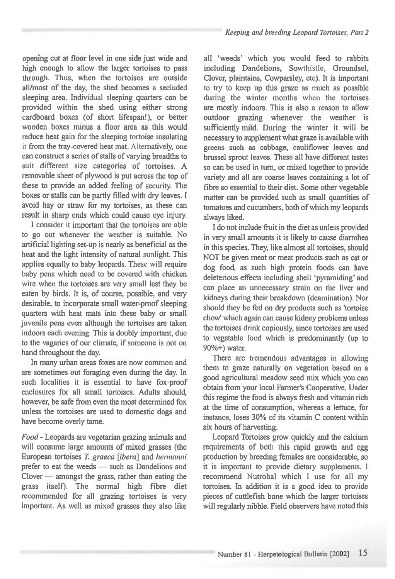opening cut at floor level in one side just wide and high enough to allow the larger tortoises to pass through. Thus, when the tortoises are outside all/most of the day, the shed becomes a secluded sleeping area. Individual sleeping quarters can be provided within the shed using either strong cardboard boxes (of short lifespan!), or better wooden boxes minus a floor area as this would reduce heat gain for the sleeping tortoise insulating it from the tray-covered heat mat. Alternatively, one can construct a series of stalls of varying breadths to suit different size categories of tortoises. A removable sheet of plywood is put across the top of these to provide an added feeling of security. The boxes or stalls can be partly filled with dry leaves. I avoid hay or straw for my tortoises, as these can result in sharp ends which could cause eye injury.

I consider it important that the tortoises are able to go out whenever the weather is suitable. No artificial lighting set-up is nearly as beneficial as the heat and the light intensity of natural sunlight. This applies equally to baby leopards. These will require baby pens which need to be covered with chicken wire when the tortoises are very small lest they be eaten by birds. It is, of course, possible, and very desirable, to incorporate small water-proof sleeping quarters with heat mats into these baby or small juvenile pens even although the tortoises are taken indoors each evening. This is doubly important, due to the vagaries of our climate, if someone is not on hand throughout the day.

In many urban areas foxes are now common and are sometimes out foraging even during the day. In such localities it is essential to have fox-proof enclosures for all small tortoises. Adults should, however, be safe from even the most determined fox unless the tortoises are used to domestic dogs and have become overly tame.

Food *-* Leopards are vegetarian grazing animals and will consume large amounts of mixed grasses (the European tortoises T. graeca [ibera] and hermanni prefer to eat the weeds — such as Dandelions and Clover — amongst the grass, rather than eating the grass itself). The normal high fibre diet recommended for all grazing tortoises is very important. As well as mixed grasses they also like

all 'weeds' which you would feed to rabbits including Dandelions, Sowthistle, Groundsel, Clover, plaintains, Cowparsley, etc). It is important to try to keep up this graze as much as possible during the winter months when the tortoises are mostly indoors. This is also a reason to allow outdoor grazing whenever the weather is sufficiently mild. During the winter it will be necessary to supplement what graze is available with greens such as cabbage, cauliflower leaves and brussel sprout leaves. These all have different tastes so can be used in turn, or mixed together to provide variety and all are coarse leaves containing a lot of fibre so essential to their diet. Some other vegetable matter can be provided such as small quantities of tomatoes and cucumbers, both of which my leopards always liked.

I do not include fruit in the diet as unless provided in very small amounts it is likely to cause diarrohea in this species. They, like almost all tortoises, should NOT be given meat or meat products such as cat or dog food, as such high protein foods can have deleterious effects including shell 'pyramiding' and can place an unnecessary strain on the liver and kidneys during their breakdown (deamination). Nor should they be fed on dry products such as 'tortoise chow' which again can cause kidney problems unless the tortoises drink copiously, since tortoises are used to vegetable food which is predominantly (up to 90%+) water.

There are tremendous advantages in allowing them to graze naturally on vegetation based on a good agricultural meadow seed mix which you can obtain from your local Farmer's Cooperative. Under this regime the food is always fresh and vitamin rich at the time of consumption, whereas a lettuce, for instance, loses 30% of its vitamin C content within six hours of harvesting.

Leopard Tortoises grow quickly and the calcium requirements of both this rapid growth and egg production by breeding females are considerable, so it is important to provide dietary supplements. I recommend Nutrobal which I use for all my tortoises. In addition it is a good idea to provide pieces of cuttlefish bone which the larger tortoises will regularly nibble. Field observers have noted this